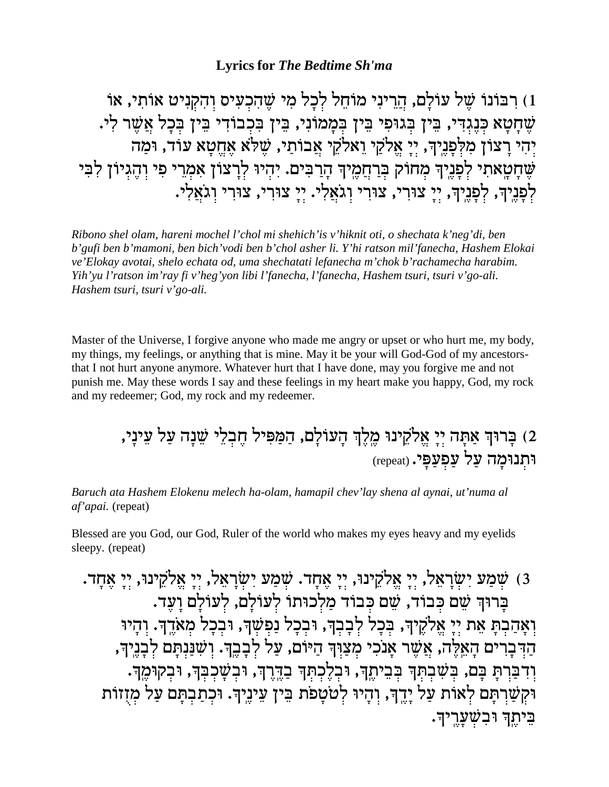## **Lyrics for The Bedtime Sh'ma**

1) רִבּוֹנוֹ שֶׁל עוֹלָם, הַרֵינִי מוֹחֵל לְכָל מִי שֵׁהִכְעִים וְהִקְנִיט אוֹתִי, אוֹ שֶׁחָטָא כִּנֶגִדִּי, בֵּין בִּגוּפִי בֵּין בִּמַמוֹנִי, בֵּין בִּכְבוֹדִי בֵּין בִּכַל אֲשֵׁר לִי. יְהִי רַצוֹן מִלְפַּנֵיךְ, יִי אֱלֹקֵי וָאלֹקֵי אֲבוֹתַי, שָׁלֹּא אַחֲטַא עוֹד, וּמַה שֶׁחָטְאתִי לְפָנֶיךָ מְחוֹק בְּרַחֲמֶיךָ הָרַבִּים. יִהִיוּ לִרַצוֹן אָמְרֵי פִי וִהֵגִיוֹן לִבִּי לְפָנֵיךָ, לְפָנֵיךָ, יְיַ צוּרְי, צוּרִי וְגֹאֲלִי. יְיַ צוּרְי, צוּרִי וְגֹאֲלִי.

Ribono shel olam, hareni mochel l'chol mi shehich'is v'hiknit oti, o shechata k'neg'di, ben b' gufi ben b' mamoni, ben bich' vodi ben b' chol asher li. Y' hi ratson mil' fanecha, Hashem Elokai ve'Elokay avotai, shelo echata od, uma shechatati lefanecha m'chok b'rachamecha harabim. Yih'yu l'ratson im'ray fi v'heg'yon libi l'fanecha, l'fanecha, Hashem tsuri, tsuri v'go-ali. Hashem tsuri, tsuri v'go-ali.

Master of the Universe, I forgive anyone who made me angry or upset or who hurt me, my body, my things, my feelings, or anything that is mine. May it be your will God-God of my ancestorsthat I not hurt anyone anymore. Whatever hurt that I have done, may you forgive me and not punish me. May these words I say and these feelings in my heart make you happy, God, my rock and my redeemer; God, my rock and my redeemer.

2) בַּרוּךְ אַתָּה יִיָ אֱלֹקֵינוּ מֵלֵךְ הַעוֹלַם, הַמַּפִּיל חֵבְלֵי שֵׁנַה עַל עֵינַי, וּתְנוּמַה עַל עַפְעַפֵּי. (repeat)

Baruch ata Hashem Elokenu melech ha-olam, hamapil chev'lay shena al aynai, ut'numa al af'apai. (repeat)

Blessed are you God, our God, Ruler of the world who makes my eyes heavy and my eyelids sleepy. (repeat)

3) שִׁמַע יְשְׂרַאֲל, יְיַ אֱלֹקֵינוּ, יְיַ אֲחָד. שִׁמַע יְשְׂרַאֲל, יִיַ אֱלֹקֵינוּ, יְיַ אֲחָד. בַרוּךְ שֵׁם כִּבוֹד, שֵׁם כִּבוֹד מַלְכוּתוֹ לְעוֹלַם, לְעוֹלַם וַעֲד. וְאָהַבְתָּ אֶת יְיָ אֱלֹקֵיךְ, בִּכָל לְבָבְךָ, וּבְכָל נַפְשָׁךְ, וּבְכָל מְאֹדֱךְ. וְהָיוּ הַדְּבַרִים הַאֱלֵה, אֲשֶׁר אֲנֹכִי מִצַוְּדְּ הַיּוֹם, עַל לְבַבֵּךְ. וְשִׁנַּנְתַּם לְבַנֵיךְ, וִדְבַּרְתַּ בָּם, בִּשְׁבִתְּךְ בִּבֵיתֶךְ, וּבְלֶכְתְּךְ בַדֱרֶךְ, וּבִשָּׁכִבְּךְ, וּבִקְוּמֶךְ. וּקְשַׁרְתָּם לְאוֹת עַל יָדֵךְ, וְהָיוּ לְטֹטָפֹת בֵּין עֵינֵיךְ. וּכְתַבְתָּם עַל מְזְזוֹת בֵיתֵךְ וּבִשָׁעֲרֵיךָ.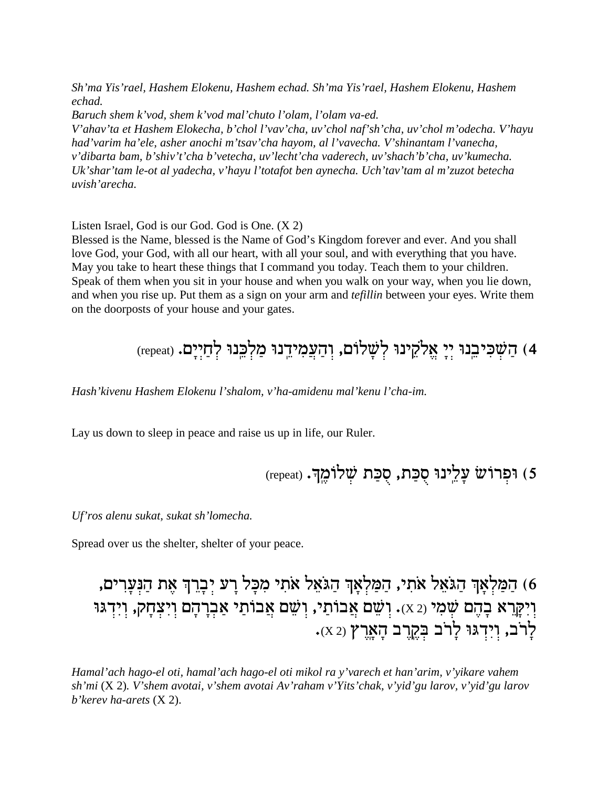*Sh'ma Yis'rael, Hashem Elokenu, Hashem echad. Sh'ma Yis'rael, Hashem Elokenu, Hashem echad.*

*Baruch shem k'vod, shem k'vod mal'chuto l'olam, l'olam va-ed.*

*V'ahav'ta et Hashem Elokecha, b'chol l'vav'cha, uv'chol naf'sh'cha, uv'chol m'odecha. V'hayu had'varim ha'ele, asher anochi m'tsav'cha hayom, al l'vavecha. V'shinantam l'vanecha, v'dibarta bam, b'shiv't'cha b'vetecha, uv'lecht'cha vaderech, uv'shach'b'cha, uv'kumecha. Uk'shar'tam le-ot al yadecha, v'hayu l'totafot ben aynecha. Uch'tav'tam al m'zuzot betecha uvish'arecha.*

Listen Israel, God is our God. God is One. (X 2)

Blessed is the Name, blessed is the Name of God's Kingdom forever and ever. And you shall love God, your God, with all our heart, with all your soul, and with everything that you have. May you take to heart these things that I command you today. Teach them to your children. Speak of them when you sit in your house and when you walk on your way, when you lie down, and when you rise up. Put them as a sign on your arm and *tefillin* between your eyes. Write them on the doorposts of your house and your gates.

4) הַשָּׁכִּיבֵנוּ יִיַ אֱלֹקֵינוּ לְשָׁלוֹם, וְהַעֲמִידֵנוּ מַלְבֵּנוּ לְחַיִיַם. (repeat)

*Hash'kivenu Hashem Elokenu l'shalom, v'ha-amidenu mal'kenu l'cha-im.*

Lay us down to sleep in peace and raise us up in life, our Ruler.

(repeat) וּפִרוֹשׂ עַלֵינוּ סִכַּת, סִכַּת שָׁלוֹמֵךָ.

*Uf'ros alenu sukat, sukat sh'lomecha.*

Spread over us the shelter, shelter of your peace.

) הַמַּלְאָךְ הַגֹּאֵל אֹתִי, הַמַּלְאָךְ הַגֹּאֵל אֹתִי מִכָּל רַע יִבְרֵךְ אֵת הַנִּעַרִים, וִיִקְרֵא בָהֶם שָׁמִי (2 x). וְשֵׁם אֲבוֹתַי, וְשֵׁם אֲבוֹתַי אַבְרָהָם וְיִצְחָק, וְיִדְגּוּ לִרֹב, וְיִדְגּוּ לַרֹב בְּקֶרֶב הָאֲרֶץ (X2).

*Hamal'ach hago-el oti, hamal'ach hago-el oti mikol ra y'varech et han'arim, v'yikare vahem sh'mi* (X 2)*. V'shem avotai, v'shem avotai Av'raham v'Yits'chak, v'yid'gu larov, v'yid'gu larov b'kerev ha-arets* (X 2).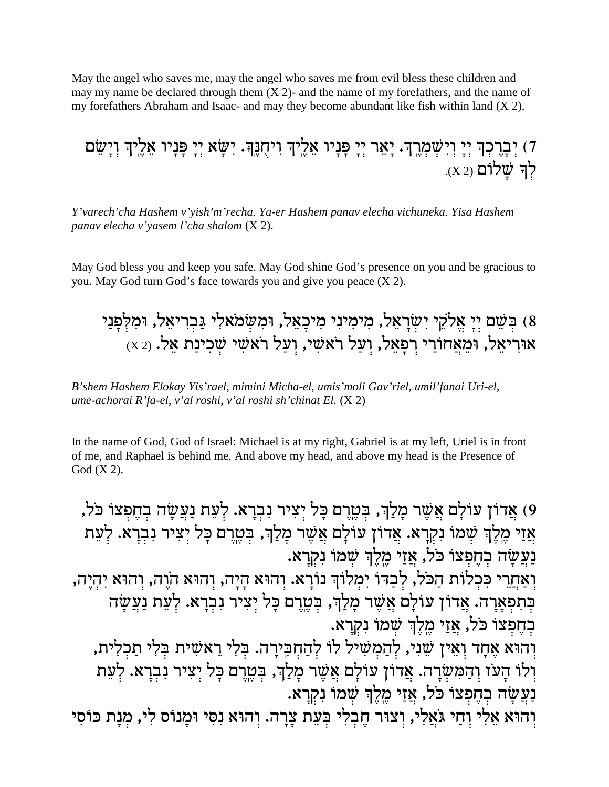May the angel who saves me, may the angel who saves me from evil bless these children and may my name be declared through them  $(X 2)$ - and the name of my forefathers, and the name of my forefathers Abraham and Isaac- and may they become abundant like fish within land (X 2).

7) יְבְרֶכְךָ יְיָ וְיִשְׁמְרֶךָ. יְאֵר יְיָ פָּנָיו אֵלֶיךָ וִיחָנֶךְ. יִשָּׂא יִיַ פַּנַיו אֲלֵיךְ וִיַשֵּׂם לך שלום (X 2).

Y'varech'cha Hashem v'yish'm'recha. Ya-er Hashem panav elecha vichuneka. Yisa Hashem panav elecha v'yasem l'cha shalom (X 2).

May God bless you and keep you safe. May God shine God's presence on you and be gracious to you. May God turn God's face towards you and give you peace (X 2).

## 8) בִּשֶׁם יִיַ אֱלֹקֵי יְשָׂרַאֲל, מִימְינִי מִיכַאֲל, וּמִשְׂמֹאלִי גַּבְרִיאֵל, וּמִלְפַנַי  $\alpha$ וצל ועל האשי, אוריאל, אוריאל, אוריאל, אוריאל, אוריאל, ומ

B'shem Hashem Elokay Yis'rael, mimini Micha-el, umis'moli Gav'riel, umil'fanai Uri-el, ume-achorai R'fa-el, v'al roshi, v'al roshi sh'chinat El.  $(X 2)$ 

In the name of God, God of Israel: Michael is at my right, Gabriel is at my left, Uriel is in front of me, and Raphael is behind me. And above my head, and above my head is the Presence of God  $(X 2)$ .

9) אֲדוֹן עוֹלַם אֲשֶׁר מַלַךְ, בְּטֱרָם כָּל יְצִיר נְבְרָא. לְעֶת נַעֲשָׂה בְחֶפְצוֹ כֹּל, אֲזַי מֱלֶךְ שָׁמוֹ נִקְרַא. אֲדוֹן עוֹלַם אֲשֶׁר מַלַךְ, בִּטֱרֵם כַּל יִצְיר נִבְרַא. לְעֵת נעשה בחפצו כל, אזי מֵלַדְ שַׁמוֹ נַקְרא. וְאַחֲרֵי כִּכְלוֹת הַכֹּל, לְבַדּוֹ יִמְלוֹךְ נוֹרָא. וְהוּא הָיָה, וְהוּא הֹוֶה, וְהוּא יִהְיֵה, בְּתִפְאַרָה. אֲדוֹן עוֹלַם אֲשֶׁר מַלַּךְ, בְּטֵרֶם כַּל יְצִיר נִבְרָא. לְעָת נַעֲשַׂה בחפצו כל, אֲזֵי מֵלֵךְ שָׁמוֹ נִקְרַא. וְהוּא אֶחָד וְאֵין שֵׁנִי, לְהַמְשִׁיל לוֹ לְהַחְבִּירָה. בִּלִי רֵאשִׁית בִּלִי תַכִלִית, ולו העז והמשרה. אדון עולם אשר מלך, בטרם כל יציר נברא. לעת נַעֲשַׂה בְחֵפְצוֹ כֹּל, אֲזֵי מֵלֶךְ שָׁמוֹ נִקְרָא. וְהוּא אֵלִי וְחַי גֹּאֲלִי, וְצוּר חֵבְלִי בְּעֵת צַרַה. וְהוּא נְסִי וּמַנוֹס לִי, מִנַת כּוֹסִי